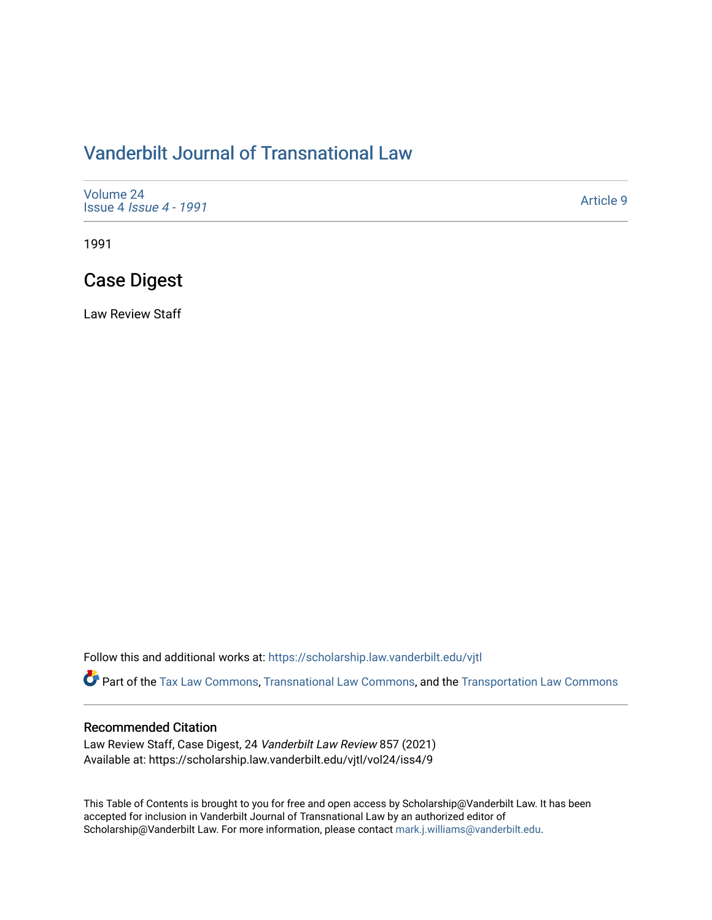## [Vanderbilt Journal of Transnational Law](https://scholarship.law.vanderbilt.edu/vjtl)

| Volume 24<br><b>Issue 4 <i>Issue 4 - 1991</i></b> | Article 9 |
|---------------------------------------------------|-----------|
|---------------------------------------------------|-----------|

1991

# Case Digest

Law Review Staff

Follow this and additional works at: [https://scholarship.law.vanderbilt.edu/vjtl](https://scholarship.law.vanderbilt.edu/vjtl?utm_source=scholarship.law.vanderbilt.edu%2Fvjtl%2Fvol24%2Fiss4%2F9&utm_medium=PDF&utm_campaign=PDFCoverPages) 

Part of the [Tax Law Commons](http://network.bepress.com/hgg/discipline/898?utm_source=scholarship.law.vanderbilt.edu%2Fvjtl%2Fvol24%2Fiss4%2F9&utm_medium=PDF&utm_campaign=PDFCoverPages), [Transnational Law Commons,](http://network.bepress.com/hgg/discipline/1123?utm_source=scholarship.law.vanderbilt.edu%2Fvjtl%2Fvol24%2Fiss4%2F9&utm_medium=PDF&utm_campaign=PDFCoverPages) and the Transportation Law Commons

## Recommended Citation

Law Review Staff, Case Digest, 24 Vanderbilt Law Review 857 (2021) Available at: https://scholarship.law.vanderbilt.edu/vjtl/vol24/iss4/9

This Table of Contents is brought to you for free and open access by Scholarship@Vanderbilt Law. It has been accepted for inclusion in Vanderbilt Journal of Transnational Law by an authorized editor of Scholarship@Vanderbilt Law. For more information, please contact [mark.j.williams@vanderbilt.edu](mailto:mark.j.williams@vanderbilt.edu).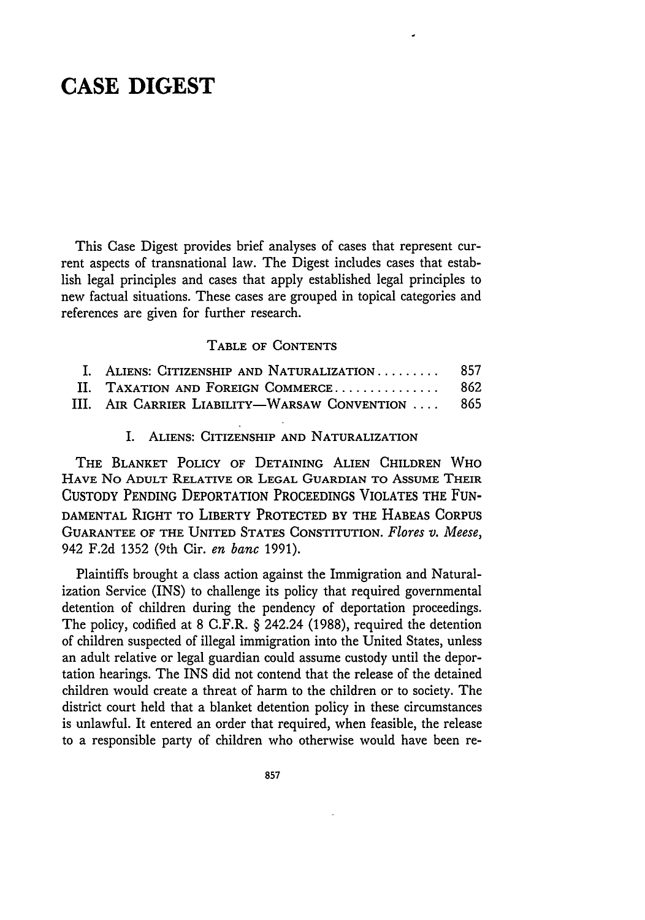## **CASE DIGEST**

This Case Digest provides brief analyses of cases that represent current aspects of transnational law. The Digest includes cases that establish legal principles and cases that apply established legal principles to new factual situations. These cases are grouped in topical categories and references are given for further research.

### **TABLE OF CONTENTS**

| I. ALIENS: CITIZENSHIP AND NATURALIZATION         | - 857 |
|---------------------------------------------------|-------|
| II. TAXATION AND FOREIGN COMMERCE                 | -862  |
| III. AIR CARRIER LIABILITY-WARSAW CONVENTION  865 |       |

#### I. ALIENS: CITIZENSHIP **AND** NATURALIZATION

**THE** BLANKET POLICY OF DETAINING ALIEN CHILDREN **WHO HAVE** No ADULT RELATIVE OR **LEGAL GUARDIAN** TO **ASSUME** THEIR CUSTODY PENDING DEPORTATION PROCEEDINGS VIOLATES THE **FUN-DAMENTAL** RIGHT TO LIBERTY PROTECTED BY THE **HABEAS CORPUS GUARANTEE** OF THE UNITED **STATES CONSTITUTION.** *Flores v. Meese,* 942 F.2d 1352 (9th Cir. *en banc* 1991).

Plaintiffs brought a class action against the Immigration and Naturalization Service (INS) to challenge its policy that required governmental detention of children during the pendency of deportation proceedings. The policy, codified at 8 C.F.R. § 242.24 (1988), required the detention of children suspected of illegal immigration into the United States, unless an adult relative or legal guardian could assume custody until the deportation hearings. The INS did not contend that the release of the detained children would create a threat of harm to the children or to society. The district court held that a blanket detention policy in these circumstances is unlawful. It entered an order that required, when feasible, the release to a responsible party of children who otherwise would have been re-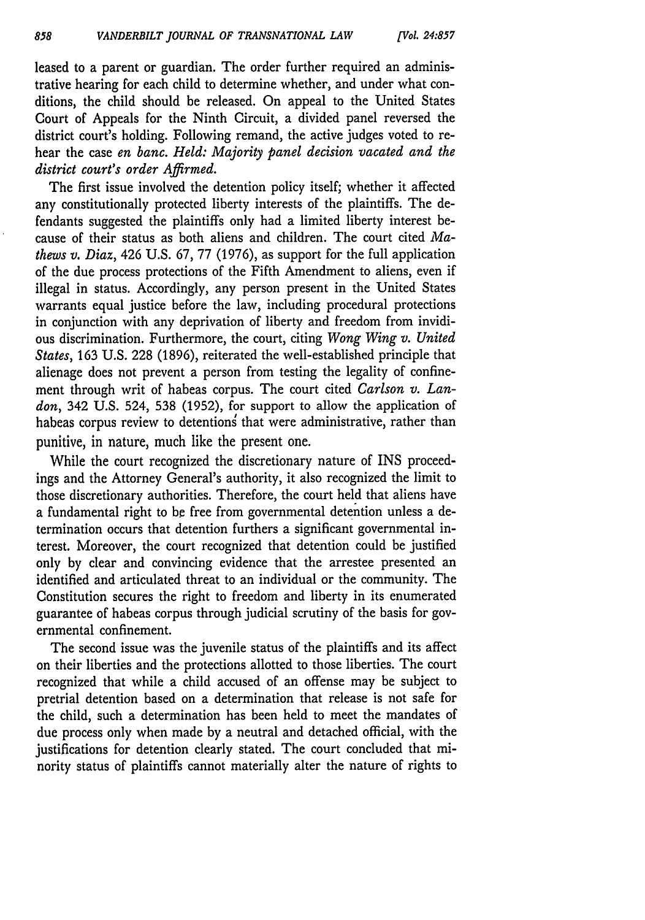leased to a parent or guardian. The order further required an administrative hearing for each child to determine whether, and under what conditions, the child should be released. On appeal to the United States Court of Appeals for the Ninth Circuit, a divided panel reversed the district court's holding. Following remand, the active judges voted to rehear the case *en banc. Held: Majority panel decision vacated and the district court's order Affirmed.*

The first issue involved the detention policy itself; whether it affected any constitutionally protected liberty interests of the plaintiffs. The defendants suggested the plaintiffs only had a limited liberty interest because of their status as both aliens and children. The court cited *Mathews v. Diaz,* 426 U.S. 67, 77 (1976), as support for the full application of the due process protections of the Fifth Amendment to aliens, even if illegal in status. Accordingly, any person present in the United States warrants equal justice before the law, including procedural protections in conjunction with any deprivation of liberty and freedom from invidious discrimination. Furthermore, the court, citing *Wong Wing v. United States,* 163 U.S. 228 (1896), reiterated the well-established principle that alienage does not prevent a person from testing the legality of confinement through writ of habeas corpus. The court cited *Carlson v. Landon,* 342 U.S. 524, 538 (1952), for support to allow the application of habeas corpus review to detentions that were administrative, rather than punitive, in nature, much like the present one.

While the court recognized the discretionary nature of INS proceedings and the Attorney General's authority, it also recognized the limit to those discretionary authorities. Therefore, the court held that aliens have a fundamental right to be free from governmental detention unless a determination occurs that detention furthers a significant governmental interest. Moreover, the court recognized that detention could be justified only by clear and convincing evidence that the arrestee presented an identified and articulated threat to an individual or the community. The Constitution secures the right to freedom and liberty in its enumerated guarantee of habeas corpus through judicial scrutiny of the basis for governmental confinement.

The second issue was the juvenile status of the plaintiffs and its affect on their liberties and the protections allotted to those liberties. The court recognized that while a child accused of an offense may be subject to pretrial detention based on a determination that release is not safe for the child, such a determination has been held to meet the mandates of due process only when made by a neutral and detached official, with the justifications for detention clearly stated. The court concluded that minority status of plaintiffs cannot materially alter the nature of rights to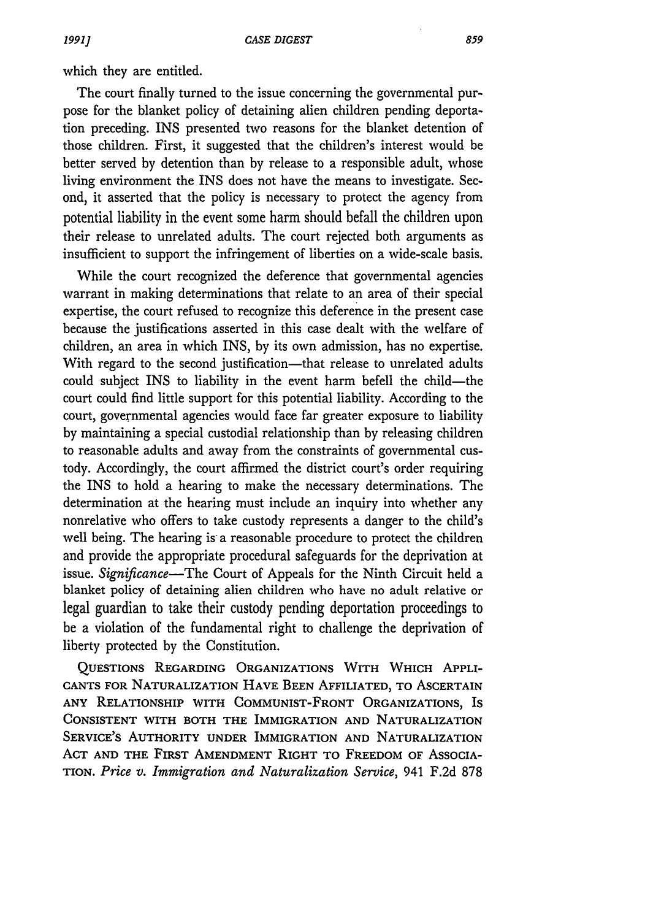which they are entitled.

The court finally turned to the issue concerning the governmental purpose for the blanket policy of detaining alien children pending deportation preceding. INS presented two reasons for the blanket detention of those children. First, it suggested that the children's interest would be better served by detention than by release to a responsible adult, whose living environment the INS does not have the means to investigate. Second, it asserted that the policy is necessary to protect the agency from potential liability in the event some harm should befall the children upon their release to unrelated adults. The court rejected both arguments as insufficient to support the infringement of liberties on a wide-scale basis.

While the court recognized the deference that governmental agencies warrant in making determinations that relate to an area of their special expertise, the court refused to recognize this deference in the present case because the justifications asserted in this case dealt with the welfare of children, an area in which INS, by its own admission, has no expertise. With regard to the second justification-that release to unrelated adults could subject INS to liability in the event harm befell the child-the court could find little support for this potential liability. According to the court, governmental agencies would face far greater exposure to liability by maintaining a special custodial relationship than by releasing children to reasonable adults and away from the constraints of governmental custody. Accordingly, the court affirmed the district court's order requiring the INS to hold a hearing to make the necessary determinations. The determination at the hearing must include an inquiry into whether any nonrelative who offers to take custody represents a danger to the child's well being. The hearing is a reasonable procedure to protect the children and provide the appropriate procedural safeguards for the deprivation at issue. *Significance-The* Court of Appeals for the Ninth Circuit held a blanket policy of detaining alien children who have no adult relative or legal guardian to take their custody pending deportation proceedings to be a violation of the fundamental right to challenge the deprivation of liberty protected by the Constitution.

QUESTIONS **REGARDING ORGANIZATIONS** WITH **WHICH** APPLI-**CANTS** FOR **NATURALIZATION HAVE BEEN** AFFILIATED, TO ASCERTAIN **ANY** RELATIONSHIP WITH COMMUNIST-FRONT ORGANIZATIONS, IS **CONSISTENT** WITH BOTH THE IMMIGRATION **AND NATURALIZATION** SERVICE'S AUTHORITY **UNDER** IMMIGRATION **AND NATURALIZATION ACT AND THE** FIRST **AMENDMENT** RIGHT TO FREEDOM OF ASSOCIA-**TION.** *Price v. Immigration and Naturalization Service,* 941 F.2d 878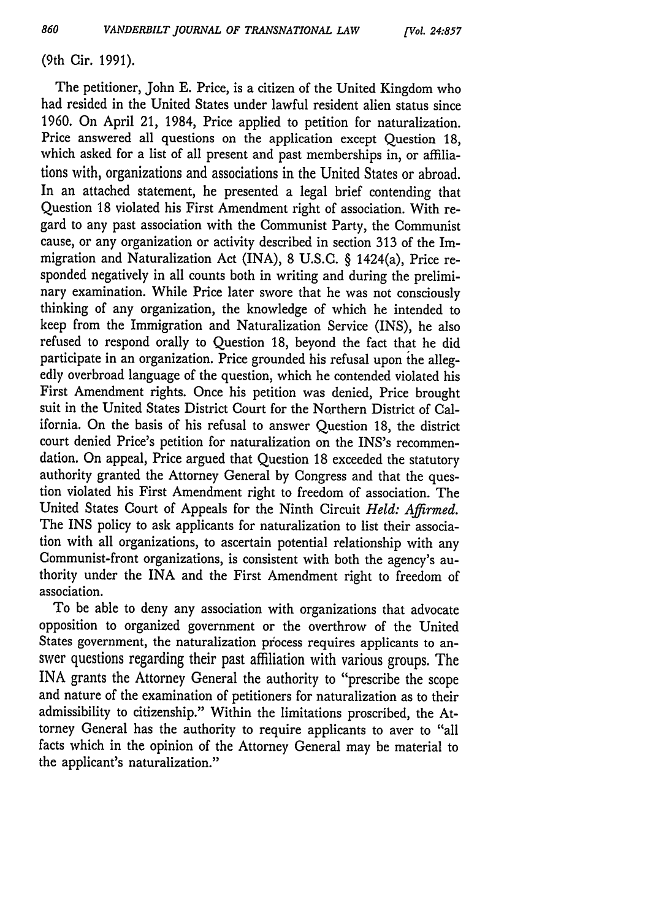## (9th Cir. 1991).

The petitioner, John E. Price, is a citizen of the United Kingdom who had resided in the United States under lawful resident alien status since 1960. On April 21, 1984, Price applied to petition for naturalization. Price answered all questions on the application except Question 18, which asked for a list of all present and past memberships in, or affiliations with, organizations and associations in the United States or abroad. In an attached statement, he presented a legal brief contending that Question 18 violated his First Amendment right of association. With regard to any past association with the Communist Party, the Communist cause, or any organization or activity described in section 313 of the Immigration and Naturalization Act (INA), 8 U.S.C. § 1424(a), Price responded negatively in all counts both in writing and during the preliminary examination. While Price later swore that he was not consciously thinking of any organization, the knowledge of which he intended to keep from the Immigration and Naturalization Service (INS), he also refused to respond orally to Question 18, beyond the fact that he did participate in an organization. Price grounded his refusal upon the allegedly overbroad language of the question, which he contended violated his First Amendment rights. Once his petition was denied, Price brought suit in the United States District Court for the Northern District of California. On the basis of his refusal to answer Question 18, the district court denied Price's petition for naturalization on the INS's recommendation. On appeal, Price argued that Question 18 exceeded the statutory authority granted the Attorney General by Congress and that the question violated his First Amendment right to freedom of association. The United States Court of Appeals for the Ninth Circuit *Held: Affirmed.* The INS policy to ask applicants for naturalization to list their association with all organizations, to ascertain potential relationship with any Communist-front organizations, is consistent with both the agency's authority under the INA and the First Amendment right to freedom of association.

To be able to deny any association with organizations that advocate opposition to organized government or the overthrow of the United States government, the naturalization process requires applicants to answer questions regarding their past affiliation with various groups. The INA grants the Attorney General the authority to "prescribe the scope and nature of the examination of petitioners for naturalization as to their admissibility to citizenship." Within the limitations proscribed, the Attorney General has the authority to require applicants to aver to "all facts which in the opinion of the Attorney General may be material to the applicant's naturalization."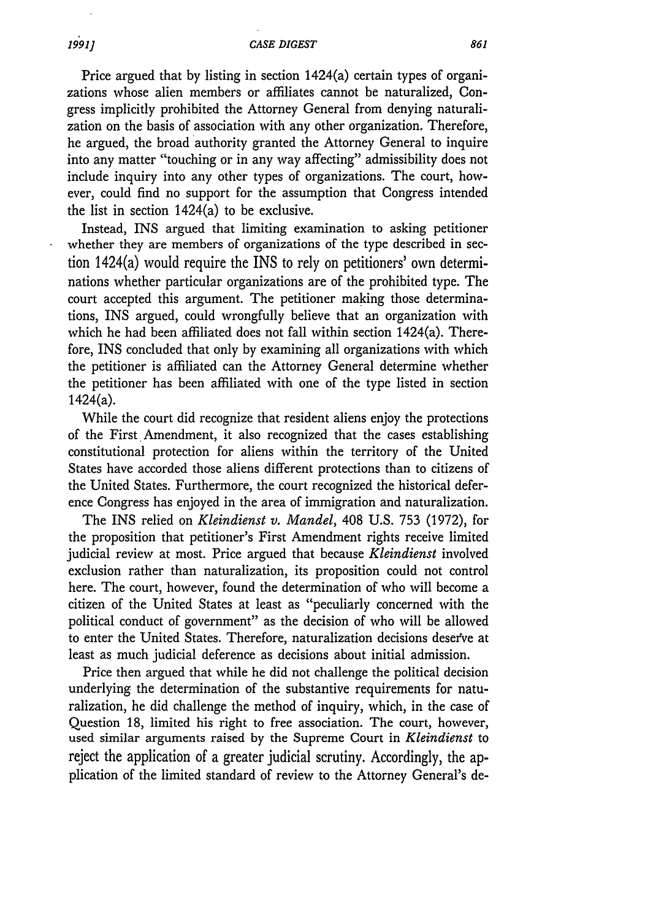#### *CASE DIGEST*

Price argued that by listing in section 1424(a) certain types of organizations whose alien members or affiliates cannot be naturalized, Congress implicitly prohibited the Attorney General from denying naturalization on the basis of association with any other organization. Therefore, he argued, the broad authority granted the Attorney General to inquire into any matter "touching or in any way affecting" admissibility does not include inquiry into any other types of organizations. The court, however, could find no support for the assumption that Congress intended the list in section 1424(a) to be exclusive.

Instead, INS argued that limiting examination to asking petitioner whether they are members of organizations of the type described in section 1424(a) would require the INS to rely on petitioners' own determinations whether particular organizations are of the prohibited type. The court accepted this argument. The petitioner making those determinations, INS argued, could wrongfully believe that an organization with which he had been affiliated does not fall within section 1424(a). Therefore, INS concluded that only by examining all organizations with which the petitioner is affiliated can the Attorney General determine whether the petitioner has been affiliated with one of the type listed in section 1424(a).

While the court did recognize that resident aliens enjoy the protections of the First Amendment, it also recognized that the cases establishing constitutional protection for aliens within the territory of the United States have accorded those aliens different protections than to citizens of the United States. Furthermore, the court recognized the historical deference Congress has enjoyed in the area of immigration and naturalization.

The INS relied on *Kleindienst v. Mandel,* 408 U.S. 753 (1972), for the proposition that petitioner's First Amendment rights receive limited judicial review at most. Price argued that because *Kleindienst* involved exclusion rather than naturalization, its proposition could not control here. The court, however, found the determination of who will become a citizen of the United States at least as "peculiarly concerned with the political conduct of government" as the decision of who will be allowed to enter the United States. Therefore, naturalization decisions deserve at least as much judicial deference as decisions about initial admission.

Price then argued that while he did not challenge the political decision underlying the determination of the substantive requirements for naturalization, he did challenge the method of inquiry, which, in the case of Question 18, limited his right to free association. The court, however, used similar arguments raised **by** the Supreme Court in *Kleindienst* to reject the application of a greater judicial scrutiny. Accordingly, the application of the limited standard of review to the Attorney General's de-

**1991]**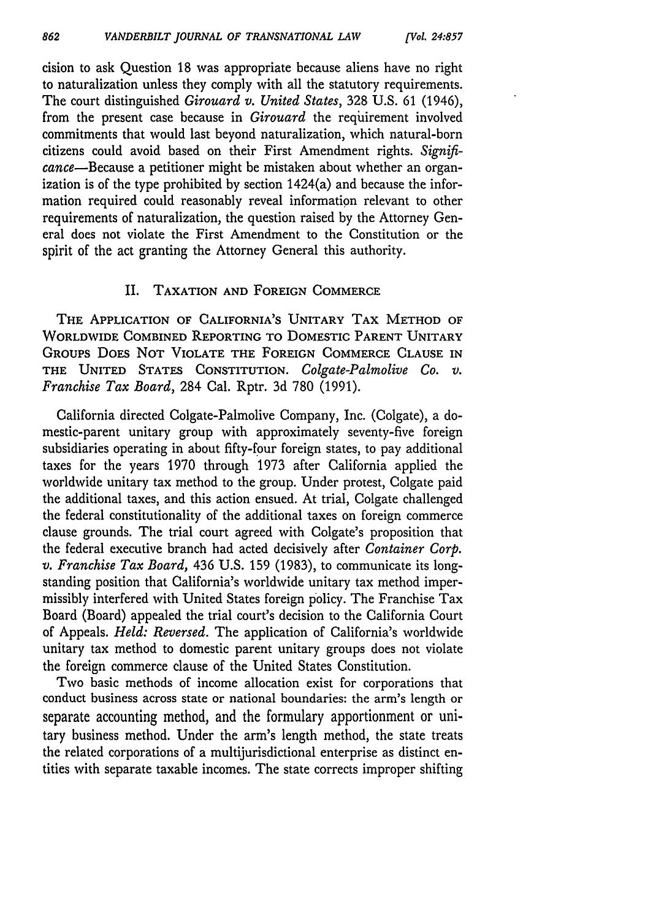cision to ask Question 18 was appropriate because aliens have no right to naturalization unless they comply with all the statutory requirements. The court distinguished *Girouard v. United States,* 328 U.S. 61 (1946), from the present case because in *Girouard* the requirement involved commitments that would last beyond naturalization, which natural-born citizens could avoid based on their First Amendment rights. *Signifcance-Because* a petitioner might be mistaken about whether an organization is of the type prohibited by section 1424(a) and because the information required could reasonably reveal information relevant to other requirements of naturalization, the question raised by the Attorney General does not violate the First Amendment to the Constitution or the spirit of the act granting the Attorney General this authority.

## II. TAXATION **AND FOREIGN COMMERCE**

THE **APPLICATION OF CALIFORNIA'S** UNITARY TAX METHOD OF WORLDWIDE **COMBINED** REPORTING TO DOMESTIC PARENT UNITARY **GROUPS DOES NOT** VIOLATE **THE FOREIGN** COMMERCE **CLAUSE** IN **THE UNITED STATES CONSTITUTION.** *Colgate-Palmolive Co. v. Franchise Tax Board,* 284 Cal. Rptr. 3d 780 (1991).

California directed Colgate-Palmolive Company, Inc. (Colgate), a domestic-parent unitary group with approximately seventy-five foreign subsidiaries operating in about fifty-four foreign states, to pay additional taxes for the years 1970 through 1973 after California applied the worldwide unitary tax method to the group. Under protest, Colgate paid the additional taxes, and this action ensued. At trial, Colgate challenged the federal constitutionality of the additional taxes on foreign commerce clause grounds. The trial court agreed with Colgate's proposition that the federal executive branch had acted decisively after *Container Corp. v. Franchise Tax Board,* 436 U.S. 159 (1983), to communicate its longstanding position that California's worldwide unitary tax method impermissibly interfered with United States foreign policy. The Franchise Tax Board (Board) appealed the trial court's decision to the California Court of Appeals. *Held: Reversed.* The application of California's worldwide unitary tax method to domestic parent unitary groups does not violate the foreign commerce clause of the United States Constitution.

Two basic methods of income allocation exist for corporations that conduct business across state or national boundaries: the arm's length or separate accounting method, and the formulary apportionment or unitary business method. Under the arm's length method, the state treats the related corporations of a multijurisdictional enterprise as distinct entities with separate taxable incomes. The state corrects improper shifting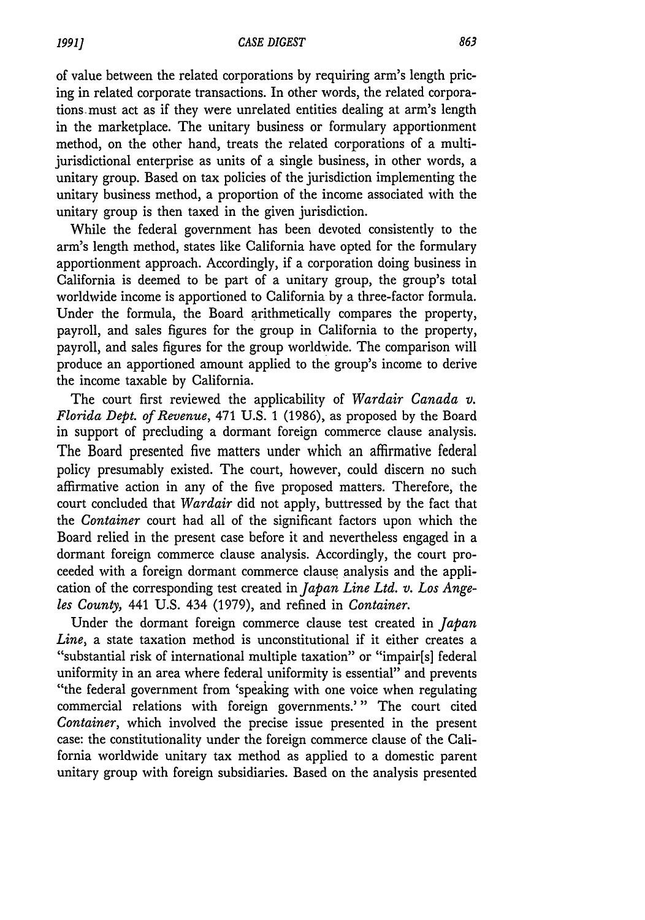of value between the related corporations by requiring arm's length pricing in related corporate transactions. In other words, the related corporations. must act as if they were unrelated entities dealing at arm's length in the marketplace. The unitary business or formulary apportionment method, on the other hand, treats the related corporations of a multijurisdictional enterprise as units of a single business, in other words, a unitary group. Based on tax policies of the jurisdiction implementing the unitary business method, a proportion of the income associated with the unitary group is then taxed in the given jurisdiction.

While the federal government has been devoted consistently to the arm's length method, states like California have opted for the formulary apportionment approach. Accordingly, if a corporation doing business in California is deemed to be part of a unitary group, the group's total worldwide income is apportioned to California by a three-factor formula. Under the formula, the Board arithmetically compares the property, payroll, and sales figures for the group in California to the property, payroll, and sales figures for the group worldwide. The comparison will produce an apportioned amount applied to the group's income to derive the income taxable by California.

The court first reviewed the applicability of *Wardair Canada v. Florida Dept. of Revenue,* 471 U.S. 1 (1986), as proposed by the Board in support of precluding a dormant foreign commerce clause analysis. The Board presented five matters under which an affirmative federal policy presumably existed. The court, however, could discern no such affirmative action in any of the five proposed matters. Therefore, the court concluded that *Wardair* did not apply, buttressed by the fact that the *Container* court had all of the significant factors upon which the Board relied in the present case before it and nevertheless engaged in a dormant foreign commerce clause analysis. Accordingly, the court proceeded with a foreign dormant commerce clause analysis and the application of the corresponding test created in *Japan Line Ltd. v. Los Angeles County,* 441 U.S. 434 (1979), and refined in *Container.*

Under the dormant foreign commerce clause test created in *Japan Line,* a state taxation method is unconstitutional if it either creates a "substantial risk of international multiple taxation" or "impair[s] federal uniformity in an area where federal uniformity is essential" and prevents "the federal government from 'speaking with one voice when regulating commercial relations with foreign governments.'" The court cited *Container*, which involved the precise issue presented in the present case: the constitutionality under the foreign commerce clause of the California worldwide unitary tax method as applied to a domestic parent unitary group with foreign subsidiaries. Based on the analysis presented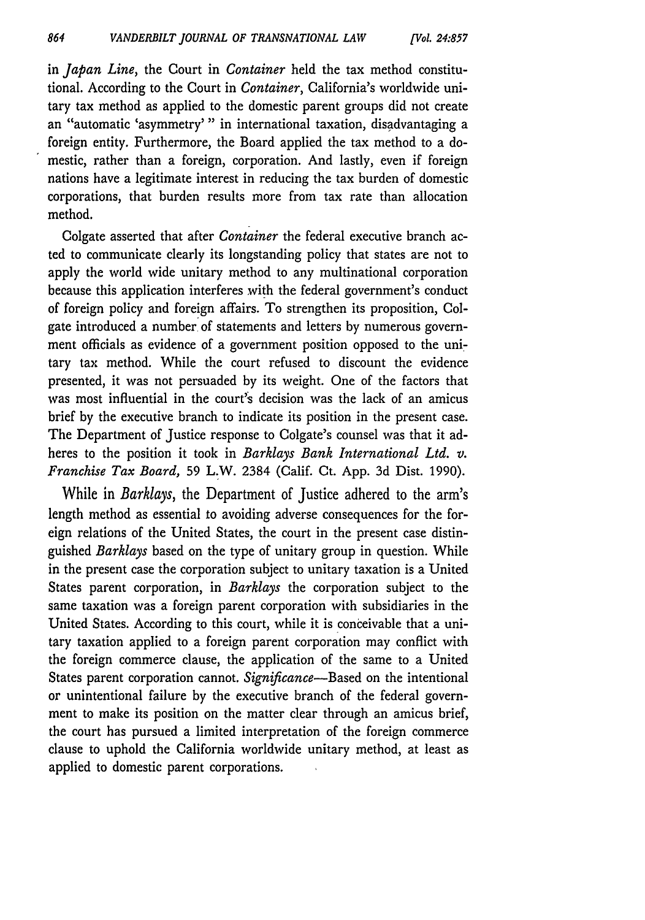in *Japan Line,* the Court in *Container* held the tax method constitutional. According to the Court in *Container,* California's worldwide unitary tax method as applied to the domestic parent groups did not create an "automatic 'asymmetry'" in international taxation, disadvantaging a foreign entity. Furthermore, the Board applied the tax method to a domestic, rather than a foreign, corporation. And lastly, even if foreign nations have a legitimate interest in reducing the tax burden of domestic corporations, that burden results more from tax rate than allocation method.

*[Vol. 24:857*

Colgate asserted that after *Container* the federal executive branch acted to communicate clearly its longstanding policy that states are not to apply the world wide unitary method to any multinational corporation because this application interferes with the federal government's conduct of foreign policy and foreign affairs. To strengthen its proposition, Colgate introduced a number of statements and letters by numerous government officials as evidence of a government position opposed to the unitary tax method. While the court refused to discount the evidence presented, it was not persuaded by its weight. One of the factors that was most influential in the court's decision was the lack of an amicus brief by the executive branch to indicate its position in the present case. The Department of Justice response to Colgate's counsel was that it adheres to the position it took in *Barklays Bank International Ltd. v. Franchise Tax Board,* 59 L.W. 2384 (Calif. Ct. App. 3d Dist. 1990).

While in *Barklays,* the Department of Justice adhered to the arm's length method as essential to avoiding adverse consequences for the foreign relations of the United States, the court in the present case distinguished *Barklays* based on the type of unitary group in question. While in the present case the corporation subject to unitary taxation is a United States parent corporation, in *Barklays* the corporation subject to the same taxation was a foreign parent corporation with subsidiaries in the United States. According to this court, while it is conceivable that a unitary taxation applied to a foreign parent corporation may conflict with the foreign commerce clause, the application of the same to a United States parent corporation cannot. *Significance*-Based on the intentional or unintentional failure by the executive branch of the federal government to make its position on the matter clear through an amicus brief, the court has pursued a limited interpretation of the foreign commerce clause to uphold the California worldwide unitary method, at least as applied to domestic parent corporations.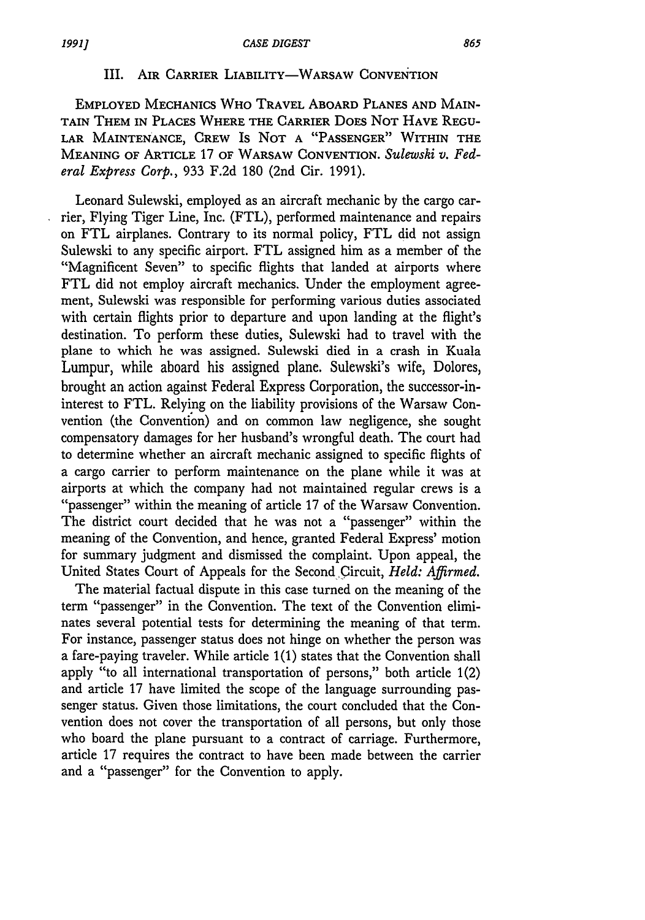### III. **AIR CARRIER** LIABILITY-WARSAW **CONVENTION**

EMPLOYED **MECHANICS** WHO TRAVEL ABOARD **PLANES AND** MAIN-**TAIN THEM IN PLACES WHERE THE CARRIER** DOES **NOT HAVE REGU-LAR MAINTENANCE, CREW** Is **NOT A "PASSENGER"** WITHIN **THE MEANING** OF ARTICLE 17 OF WARSAW **CONVENTION.** *Sulewski v. Federal Express Corp.,* 933 F.2d 180 (2nd Cir. 1991).

Leonard Sulewski, employed as an aircraft mechanic by the cargo carrier, Flying Tiger Line, Inc. (FTL), performed maintenance and repairs on FTL airplanes. Contrary to its normal policy, FTL did not assign Sulewski to any specific airport. FTL assigned him as a member of the "Magnificent Seven" to specific flights that landed at airports where FTL did not employ aircraft mechanics. Under the employment agreement, Sulewski was responsible for performing various duties associated with certain flights prior to departure and upon landing at the flight's destination. To perform these duties, Sulewski had to travel with the plane to which he was assigned. Sulewski died in a crash in Kuala Lumpur, while aboard his assigned plane. Sulewski's wife, Dolores, brought an action against Federal Express Corporation, the successor-ininterest to FTL. Relying on the liability provisions of the Warsaw Convention (the Convention) and on common law negligence, she sought compensatory damages for her husband's wrongful death. The court had to determine whether an aircraft mechanic assigned to specific flights of a cargo carrier to perform maintenance on the plane while it was at airports at which the company had not maintained regular crews is a "passenger" within the meaning of article 17 of the Warsaw Convention. The district court decided that he was not a "passenger" within the meaning of the Convention, and hence, granted Federal Express' motion for summary judgment and dismissed the complaint. Upon appeal, the United States Court of Appeals for the Second Circuit, *Held: Affirmed.*

The material factual dispute in this case turned on the meaning of the term "passenger" in the Convention. The text of the Convention eliminates several potential tests for determining the meaning of that term. For instance, passenger status does not hinge on whether the person was a fare-paying traveler. While article 1(1) states that the Convention shall apply "to all international transportation of persons," both article 1(2) and article 17 have limited the scope of the language surrounding passenger status. Given those limitations, the court concluded that the Convention does not cover the transportation of all persons, but only those who board the plane pursuant to a contract of carriage. Furthermore, article 17 requires the contract to have been made between the carrier and a "passenger" for the Convention to apply.

865